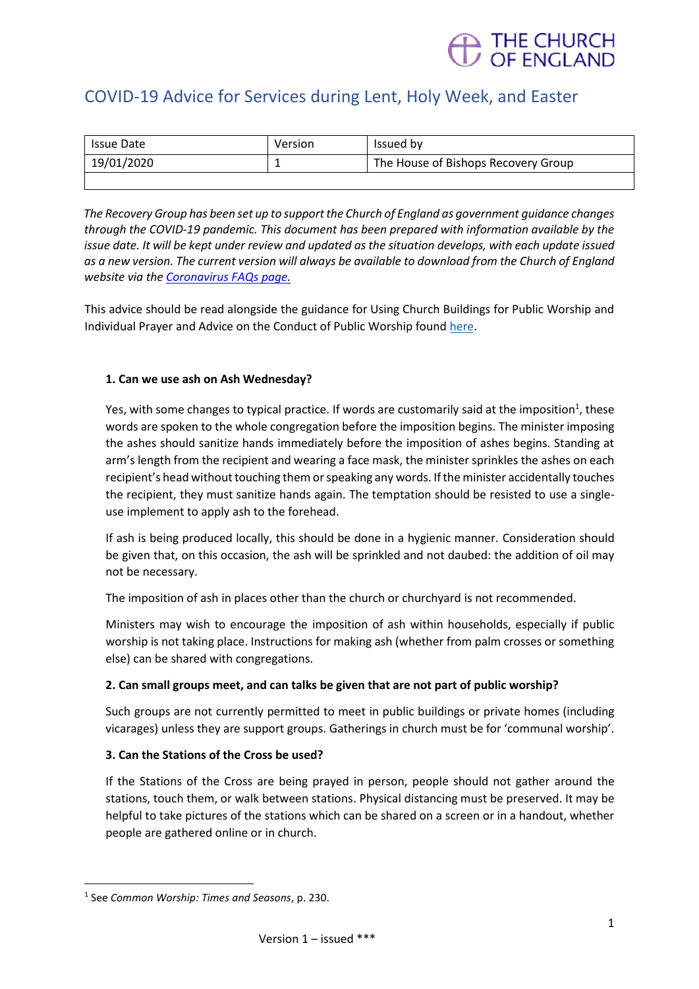

### COVID-19 Advice for Services during Lent, Holy Week, and Easter

| Issue Date | Version | Issued by                           |
|------------|---------|-------------------------------------|
| 19/01/2020 | --      | The House of Bishops Recovery Group |
|            |         |                                     |

*The Recovery Group has been set up to support the Church of England as government guidance changes through the COVID-19 pandemic. This document has been prepared with information available by the issue date. It will be kept under review and updated as the situation develops, with each update issued as a new version. The current version will always be available to download from the Church of England website via th[e Coronavirus FAQs page.](https://www.churchofengland.org/more/media-centre/coronavirus-covid-19-guidance-churches)*

This advice should be read alongside the guidance for Using Church Buildings for Public Worship and Individual Prayer and Advice on the Conduct of Public Worship found [here.](https://www.churchofengland.org/more/media-centre/coronavirus-covid-19-guidance-churches#documents)

#### **1. Can we use ash on Ash Wednesday?**

Yes, with some changes to typical practice. If words are customarily said at the imposition<sup>1</sup>, these words are spoken to the whole congregation before the imposition begins. The minister imposing the ashes should sanitize hands immediately before the imposition of ashes begins. Standing at arm's length from the recipient and wearing a face mask, the minister sprinkles the ashes on each recipient's head without touching them or speaking any words. If the minister accidentally touches the recipient, they must sanitize hands again. The temptation should be resisted to use a singleuse implement to apply ash to the forehead.

If ash is being produced locally, this should be done in a hygienic manner. Consideration should be given that, on this occasion, the ash will be sprinkled and not daubed: the addition of oil may not be necessary.

The imposition of ash in places other than the church or churchyard is not recommended.

Ministers may wish to encourage the imposition of ash within households, especially if public worship is not taking place. Instructions for making ash (whether from palm crosses or something else) can be shared with congregations.

#### **2. Can small groups meet, and can talks be given that are not part of public worship?**

Such groups are not currently permitted to meet in public buildings or private homes (including vicarages) unless they are support groups. Gatherings in church must be for 'communal worship'.

#### **3. Can the Stations of the Cross be used?**

If the Stations of the Cross are being prayed in person, people should not gather around the stations, touch them, or walk between stations. Physical distancing must be preserved. It may be helpful to take pictures of the stations which can be shared on a screen or in a handout, whether people are gathered online or in church.

<sup>1</sup> See *Common Worship: Times and Seasons*, p. 230.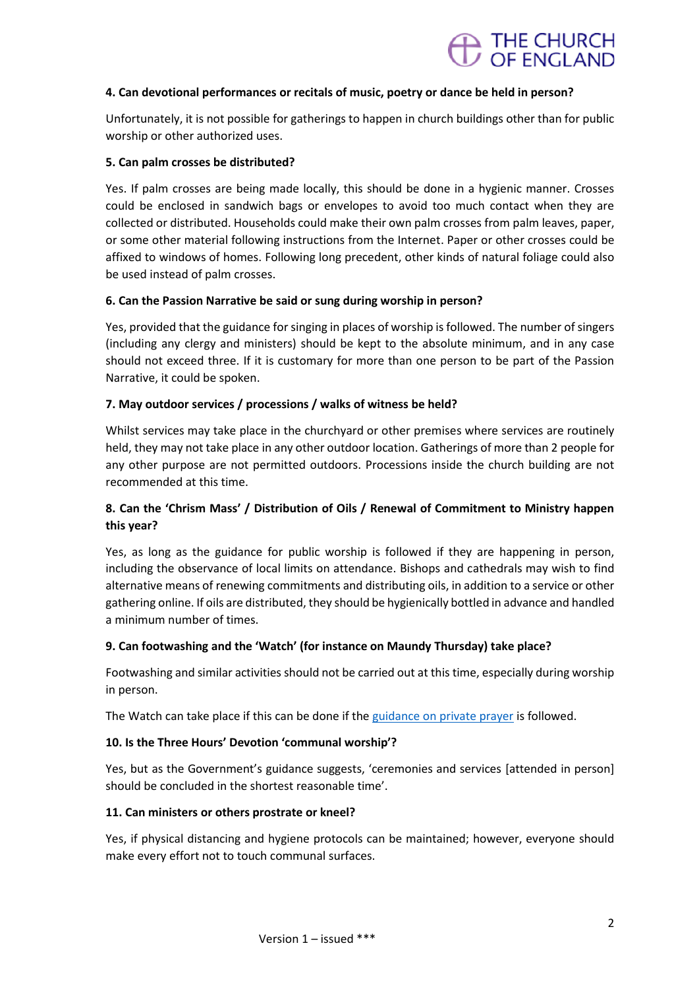## THE CHURCH<br>OF FNGI AND

#### **4. Can devotional performances or recitals of music, poetry or dance be held in person?**

Unfortunately, it is not possible for gatherings to happen in church buildings other than for public worship or other authorized uses.

#### **5. Can palm crosses be distributed?**

Yes. If palm crosses are being made locally, this should be done in a hygienic manner. Crosses could be enclosed in sandwich bags or envelopes to avoid too much contact when they are collected or distributed. Households could make their own palm crosses from palm leaves, paper, or some other material following instructions from the Internet. Paper or other crosses could be affixed to windows of homes. Following long precedent, other kinds of natural foliage could also be used instead of palm crosses.

#### **6. Can the Passion Narrative be said or sung during worship in person?**

Yes, provided that the guidance for singing in places of worship is followed. The number of singers (including any clergy and ministers) should be kept to the absolute minimum, and in any case should not exceed three. If it is customary for more than one person to be part of the Passion Narrative, it could be spoken.

#### **7. May outdoor services / processions / walks of witness be held?**

Whilst services may take place in the churchyard or other premises where services are routinely held, they may not take place in any other outdoor location. Gatherings of more than 2 people for any other purpose are not permitted outdoors. Processions inside the church building are not recommended at this time.

#### **8. Can the 'Chrism Mass' / Distribution of Oils / Renewal of Commitment to Ministry happen this year?**

Yes, as long as the guidance for public worship is followed if they are happening in person, including the observance of local limits on attendance. Bishops and cathedrals may wish to find alternative means of renewing commitments and distributing oils, in addition to a service or other gathering online. If oils are distributed, they should be hygienically bottled in advance and handled a minimum number of times.

#### **9. Can footwashing and the 'Watch' (for instance on Maundy Thursday) take place?**

Footwashing and similar activities should not be carried out at this time, especially during worship in person.

The Watch can take place if this can be done if the [guidance on private prayer](https://www.churchofengland.org/media/20590) is followed.

#### **10. Is the Three Hours' Devotion 'communal worship'?**

Yes, but as the Government's guidance suggests, 'ceremonies and services [attended in person] should be concluded in the shortest reasonable time'.

#### **11. Can ministers or others prostrate or kneel?**

Yes, if physical distancing and hygiene protocols can be maintained; however, everyone should make every effort not to touch communal surfaces.